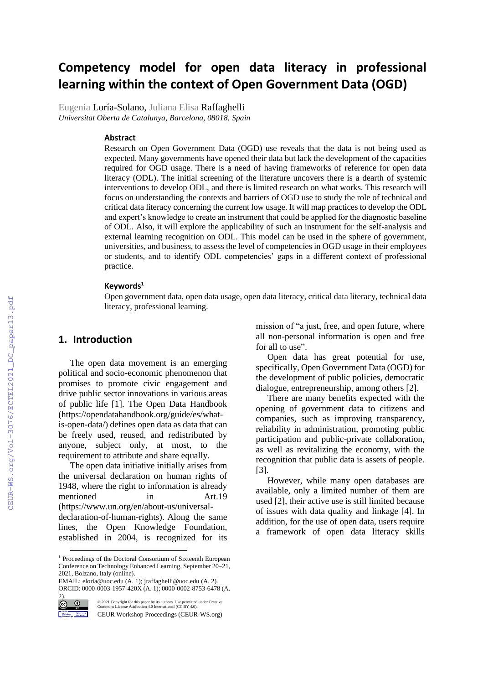# **Competency model for open data literacy in professional learning within the context of Open Government Data (OGD)**

Eugenia Loría-Solano, Juliana Elisa Raffaghelli *Universitat Oberta de Catalunya, Barcelona, 08018, Spain*

#### **Abstract**

Research on Open Government Data (OGD) use reveals that the data is not being used as expected. Many governments have opened their data but lack the development of the capacities required for OGD usage. There is a need of having frameworks of reference for open data literacy (ODL). The initial screening of the literature uncovers there is a dearth of systemic interventions to develop ODL, and there is limited research on what works. This research will focus on understanding the contexts and barriers of OGD use to study the role of technical and critical data literacy concerning the current low usage. It will map practices to develop the ODL and expert's knowledge to create an instrument that could be applied for the diagnostic baseline of ODL. Also, it will explore the applicability of such an instrument for the self-analysis and external learning recognition on ODL. This model can be used in the sphere of government, universities, and business, to assess the level of competencies in OGD usage in their employees or students, and to identify ODL competencies' gaps in a different context of professional practice.

#### **Keywords<sup>1</sup>**

Open government data, open data usage, open data literacy, critical data literacy, technical data literacy, professional learning.

#### **1. Introduction**

The open data movement is an emerging political and socio-economic phenomenon that promises to promote civic engagement and drive public sector innovations in various areas of public life [1]. The Open Data Handbook (https://opendatahandbook.org/guide/es/whatis-open-data/) defines open data as data that can be freely used, reused, and redistributed by anyone, subject only, at most, to the requirement to attribute and share equally.

The open data initiative initially arises from the universal declaration on human rights of 1948, where the right to information is already mentioned in Art.19 (https://www.un.org/en/about-us/universaldeclaration-of-human-rights). Along the same lines, the Open Knowledge Foundation, established in 2004, is recognized for its

EMAIL: eloria@uoc.edu (A. 1)[; jraffaghelli@uoc.edu](mailto:jraffaghelli@uoc.edu) (A. 2). ORCID[: 0000-0003-1957-420X](https://orcid.org/0000-0003-1957-420X) (A. 1)[; 0000-0002-8753-6478](https://orcid.org/0000-0002-8753-6478) (A.



©️ 2021 Copyright for this paper by its authors. Use permitted under Creative Commons License Attribution 4.0 International (CC BY 4.0).

CEUR Workshop Proceedings (CEUR-WS.org)

mission of "a just, free, and open future, where all non-personal information is open and free for all to use".

Open data has great potential for use, specifically, Open Government Data (OGD) for the development of public policies, democratic dialogue, entrepreneurship, among others [2].

There are many benefits expected with the opening of government data to citizens and companies, such as improving transparency, reliability in administration, promoting public participation and public-private collaboration, as well as revitalizing the economy, with the recognition that public data is assets of people. [3].

However, while many open databases are available, only a limited number of them are used [2], their active use is still limited because of issues with data quality and linkage [4]. In addition, for the use of open data, users require a framework of open data literacy skills

<sup>1</sup> Proceedings of the Doctoral Consortium of Sixteenth European Conference on Technology Enhanced Learning, September 20–21, 2021, Bolzano, Italy (online).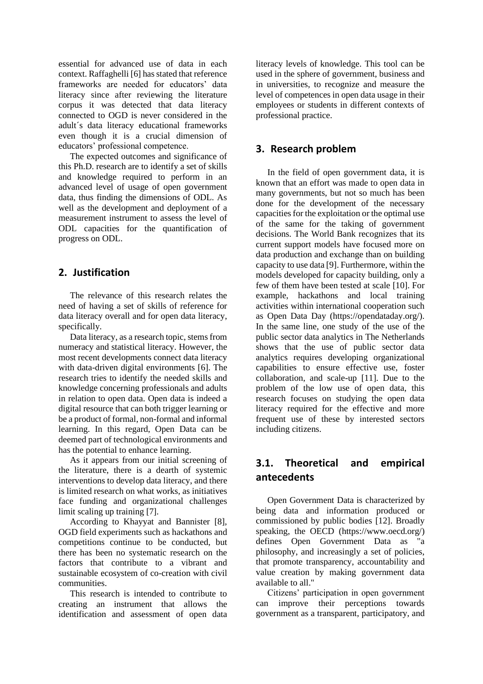essential for advanced use of data in each context. Raffaghelli [6] has stated that reference frameworks are needed for educators' data literacy since after reviewing the literature corpus it was detected that data literacy connected to OGD is never considered in the adult´s data literacy educational frameworks even though it is a crucial dimension of educators' professional competence.

The expected outcomes and significance of this Ph.D. research are to identify a set of skills and knowledge required to perform in an advanced level of usage of open government data, thus finding the dimensions of ODL. As well as the development and deployment of a measurement instrument to assess the level of ODL capacities for the quantification of progress on ODL.

#### **2. Justification**

The relevance of this research relates the need of having a set of skills of reference for data literacy overall and for open data literacy, specifically.

Data literacy, as a research topic, stems from numeracy and statistical literacy. However, the most recent developments connect data literacy with data-driven digital environments [6]. The research tries to identify the needed skills and knowledge concerning professionals and adults in relation to open data. Open data is indeed a digital resource that can both trigger learning or be a product of formal, non-formal and informal learning. In this regard, Open Data can be deemed part of technological environments and has the potential to enhance learning.

As it appears from our initial screening of the literature, there is a dearth of systemic interventions to develop data literacy, and there is limited research on what works, as initiatives face funding and organizational challenges limit scaling up training [7].

According to Khayyat and Bannister [8], OGD field experiments such as hackathons and competitions continue to be conducted, but there has been no systematic research on the factors that contribute to a vibrant and sustainable ecosystem of co-creation with civil communities.

This research is intended to contribute to creating an instrument that allows the identification and assessment of open data literacy levels of knowledge. This tool can be used in the sphere of government, business and in universities, to recognize and measure the level of competences in open data usage in their employees or students in different contexts of professional practice.

## **3. Research problem**

In the field of open government data, it is known that an effort was made to open data in many governments, but not so much has been done for the development of the necessary capacities for the exploitation or the optimal use of the same for the taking of government decisions. The World Bank recognizes that its current support models have focused more on data production and exchange than on building capacity to use data [9]. Furthermore, within the models developed for capacity building, only a few of them have been tested at scale [10]. For example, hackathons and local training activities within international cooperation such as Open Data Day (https://opendataday.org/). In the same line, one study of the use of the public sector data analytics in The Netherlands shows that the use of public sector data analytics requires developing organizational capabilities to ensure effective use, foster collaboration, and scale-up [11]. Due to the problem of the low use of open data, this research focuses on studying the open data literacy required for the effective and more frequent use of these by interested sectors including citizens.

## **3.1. Theoretical and empirical antecedents**

Open Government Data is characterized by being data and information produced or commissioned by public bodies [12]. Broadly speaking, the OECD (https://www.oecd.org/) defines Open Government Data as "a philosophy, and increasingly a set of policies, that promote transparency, accountability and value creation by making government data available to all."

Citizens' participation in open government can improve their perceptions towards government as a transparent, participatory, and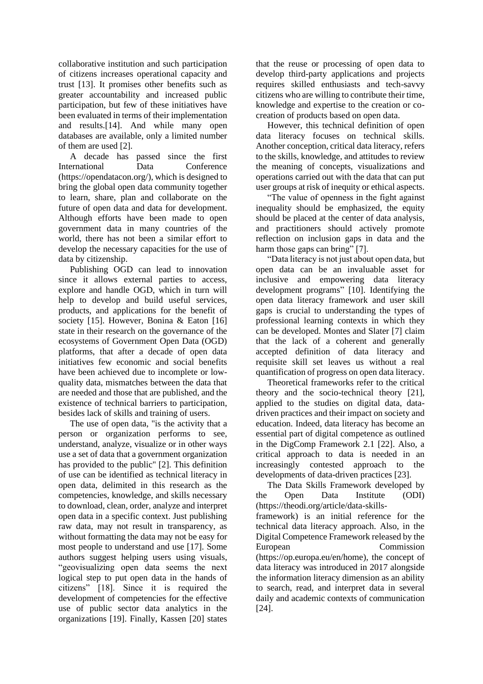collaborative institution and such participation of citizens increases operational capacity and trust [13]. It promises other benefits such as greater accountability and increased public participation, but few of these initiatives have been evaluated in terms of their implementation and results.[14]. And while many open databases are available, only a limited number of them are used [2].

A decade has passed since the first International Data Conference [\(https://opendatacon.org/\)](https://opendatacon.org/), which is designed to bring the global open data community together to learn, share, plan and collaborate on the future of open data and data for development. Although efforts have been made to open government data in many countries of the world, there has not been a similar effort to develop the necessary capacities for the use of data by citizenship.

Publishing OGD can lead to innovation since it allows external parties to access, explore and handle OGD, which in turn will help to develop and build useful services, products, and applications for the benefit of society [15]. However, Bonina & Eaton [16] state in their research on the governance of the ecosystems of Government Open Data (OGD) platforms, that after a decade of open data initiatives few economic and social benefits have been achieved due to incomplete or lowquality data, mismatches between the data that are needed and those that are published, and the existence of technical barriers to participation, besides lack of skills and training of users.

The use of open data, "is the activity that a person or organization performs to see, understand, analyze, visualize or in other ways use a set of data that a government organization has provided to the public" [2]. This definition of use can be identified as technical literacy in open data, delimited in this research as the competencies, knowledge, and skills necessary to download, clean, order, analyze and interpret open data in a specific context. Just publishing raw data, may not result in transparency, as without formatting the data may not be easy for most people to understand and use [17]. Some authors suggest helping users using visuals, "geovisualizing open data seems the next logical step to put open data in the hands of citizens" [18]. Since it is required the development of competencies for the effective use of public sector data analytics in the organizations [19]. Finally, Kassen [20] states

that the reuse or processing of open data to develop third-party applications and projects requires skilled enthusiasts and tech-savvy citizens who are willing to contribute their time, knowledge and expertise to the creation or cocreation of products based on open data.

However, this technical definition of open data literacy focuses on technical skills. Another conception, critical data literacy, refers to the skills, knowledge, and attitudes to review the meaning of concepts, visualizations and operations carried out with the data that can put user groups at risk of inequity or ethical aspects.

"The value of openness in the fight against inequality should be emphasized, the equity should be placed at the center of data analysis, and practitioners should actively promote reflection on inclusion gaps in data and the harm those gaps can bring" [7].

"Data literacy is not just about open data, but open data can be an invaluable asset for inclusive and empowering data literacy development programs" [10]. Identifying the open data literacy framework and user skill gaps is crucial to understanding the types of professional learning contexts in which they can be developed. Montes and Slater [7] claim that the lack of a coherent and generally accepted definition of data literacy and requisite skill set leaves us without a real quantification of progress on open data literacy.

Theoretical frameworks refer to the critical theory and the socio-technical theory [21], applied to the studies on digital data, datadriven practices and their impact on society and education. Indeed, data literacy has become an essential part of digital competence as outlined in the DigComp Framework 2.1 [22]. Also, a critical approach to data is needed in an increasingly contested approach to the developments of data-driven practices [23].

The Data Skills Framework developed by the Open Data Institute (ODI) (https://theodi.org/article/data-skillsframework) is an initial reference for the technical data literacy approach. Also, in the Digital Competence Framework released by the European Commission [\(https://op.europa.eu/en/home\),](https://op.europa.eu/en/publication-detail/-/publication/3c5e7879-308f-11e7-9412-01aa75ed71a1/language-en) the concept of data literacy was introduced in 2017 alongside the information literacy dimension as an ability to search, read, and interpret data in several daily and academic contexts of communication [24].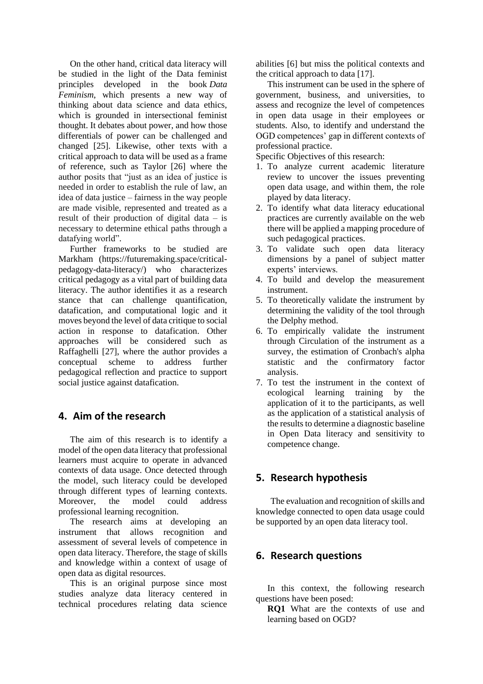On the other hand, critical data literacy will be studied in the light of the Data feminist principles developed in the book *Data Feminism*, which presents a new way of thinking about data science and data ethics, which is grounded in intersectional feminist thought. It debates about power, and how those differentials of power can be challenged and changed [25]. Likewise, other texts with a critical approach to data will be used as a frame of reference, such as Taylor [26] where the author posits that "just as an idea of justice is needed in order to establish the rule of law, an idea of data justice – fairness in the way people are made visible, represented and treated as a result of their production of digital data – is necessary to determine ethical paths through a datafying world".

Further frameworks to be studied are Markham [\(https://futuremaking.space/critical](https://futuremaking.space/critical-pedagogy-data-literacy/)[pedagogy-data-literacy/\)](https://futuremaking.space/critical-pedagogy-data-literacy/) who characterizes critical pedagogy as a vital part of building data literacy. The author identifies it as a research stance that can challenge quantification, datafication, and computational logic and it moves beyond the level of data critique to social action in response to datafication. Other approaches will be considered such as Raffaghelli [27], where the author provides a conceptual scheme to address further pedagogical reflection and practice to support social justice against datafication.

## **4. Aim of the research**

The aim of this research is to identify a model of the open data literacy that professional learners must acquire to operate in advanced contexts of data usage. Once detected through the model, such literacy could be developed through different types of learning contexts. Moreover, the model could address professional learning recognition.

The research aims at developing an instrument that allows recognition and assessment of several levels of competence in open data literacy. Therefore, the stage of skills and knowledge within a context of usage of open data as digital resources.

This is an original purpose since most studies analyze data literacy centered in technical procedures relating data science

abilities [6] but miss the political contexts and the critical approach to data [17].

This instrument can be used in the sphere of government, business, and universities, to assess and recognize the level of competences in open data usage in their employees or students. Also, to identify and understand the OGD competences' gap in different contexts of professional practice.

Specific Objectives of this research:

- 1. To analyze current academic literature review to uncover the issues preventing open data usage, and within them, the role played by data literacy.
- 2. To identify what data literacy educational practices are currently available on the web there will be applied a mapping procedure of such pedagogical practices.
- 3. To validate such open data literacy dimensions by a panel of subject matter experts' interviews.
- 4. To build and develop the measurement instrument.
- 5. To theoretically validate the instrument by determining the validity of the tool through the Delphy method.
- 6. To empirically validate the instrument through Circulation of the instrument as a survey, the estimation of Cronbach's alpha statistic and the confirmatory factor analysis.
- 7. To test the instrument in the context of ecological learning training by the application of it to the participants, as well as the application of a statistical analysis of the results to determine a diagnostic baseline in Open Data literacy and sensitivity to competence change.

## **5. Research hypothesis**

The evaluation and recognition of skills and knowledge connected to open data usage could be supported by an open data literacy tool.

## **6. Research questions**

In this context, the following research questions have been posed:

**RQ1** What are the contexts of use and learning based on OGD?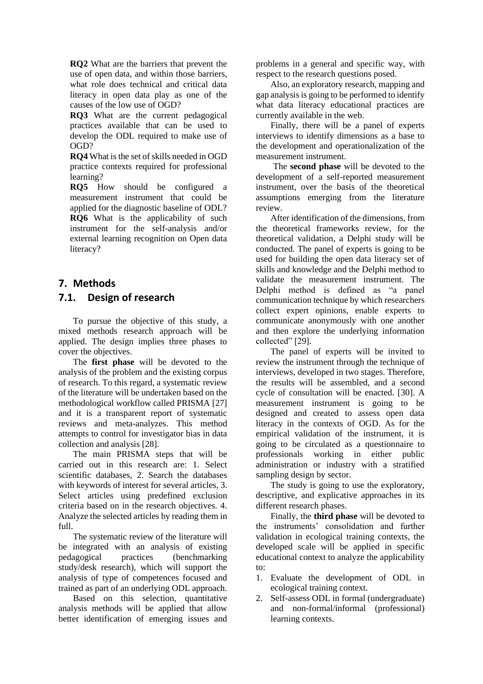**RQ2** What are the barriers that prevent the use of open data, and within those barriers, what role does technical and critical data literacy in open data play as one of the causes of the low use of OGD?

**RQ3** What are the current pedagogical practices available that can be used to develop the ODL required to make use of OGD?

**RQ4** What is the set of skills needed in OGD practice contexts required for professional learning?

**RQ5** How should be configured a measurement instrument that could be applied for the diagnostic baseline of ODL? **RQ6** What is the applicability of such instrument for the self-analysis and/or external learning recognition on Open data literacy?

# **7. Methods**

## **7.1. Design of research**

To pursue the objective of this study, a mixed methods research approach will be applied. The design implies three phases to cover the objectives.

The **first phase** will be devoted to the analysis of the problem and the existing corpus of research. To this regard, a systematic review of the literature will be undertaken based on the methodological workflow called PRISMA [27] and it is a transparent report of systematic reviews and meta-analyzes. This method attempts to control for investigator bias in data collection and analysis [28].

The main PRISMA steps that will be carried out in this research are: 1. Select scientific databases, 2. Search the databases with keywords of interest for several articles, 3. Select articles using predefined exclusion criteria based on in the research objectives. 4. Analyze the selected articles by reading them in full.

The systematic review of the literature will be integrated with an analysis of existing pedagogical practices (benchmarking study/desk research), which will support the analysis of type of competences focused and trained as part of an underlying ODL approach.

Based on this selection, quantitative analysis methods will be applied that allow better identification of emerging issues and

problems in a general and specific way, with respect to the research questions posed.

Also, an exploratory research, mapping and gap analysis is going to be performed to identify what data literacy educational practices are currently available in the web.

Finally, there will be a panel of experts interviews to identify dimensions as a base to the development and operationalization of the measurement instrument.

The **second phase** will be devoted to the development of a self-reported measurement instrument, over the basis of the theoretical assumptions emerging from the literature review.

After identification of the dimensions, from the theoretical frameworks review, for the theoretical validation, a Delphi study will be conducted. The panel of experts is going to be used for building the open data literacy set of skills and knowledge and the Delphi method to validate the measurement instrument. The Delphi method is defined as "a panel communication technique by which researchers collect expert opinions, enable experts to communicate anonymously with one another and then explore the underlying information collected" [29].

The panel of experts will be invited to review the instrument through the technique of interviews, developed in two stages. Therefore, the results will be assembled, and a second cycle of consultation will be enacted. [30]. A measurement instrument is going to be designed and created to assess open data literacy in the contexts of OGD. As for the empirical validation of the instrument, it is going to be circulated as a questionnaire to professionals working in either public administration or industry with a stratified sampling design by sector.

The study is going to use the exploratory, descriptive, and explicative approaches in its different research phases.

Finally, the **third phase** will be devoted to the instruments' consolidation and further validation in ecological training contexts, the developed scale will be applied in specific educational context to analyze the applicability to:

- 1. Evaluate the development of ODL in ecological training context.
- 2. Self-assess ODL in formal (undergraduate) and non-formal/informal (professional) learning contexts.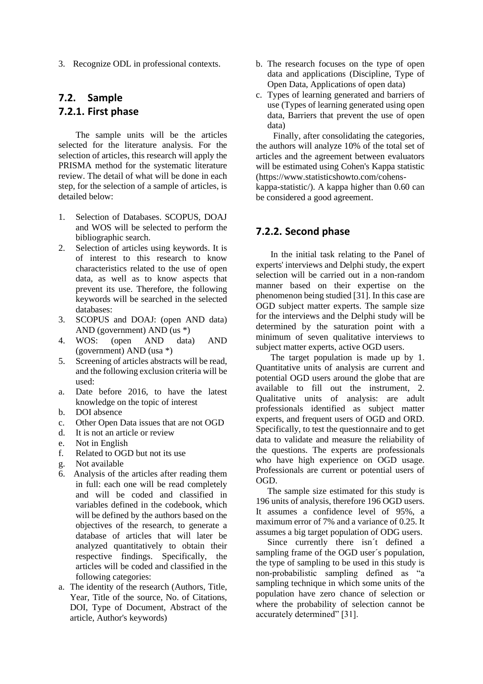3. Recognize ODL in professional contexts.

## **7.2. Sample 7.2.1. First phase**

The sample units will be the articles selected for the literature analysis. For the selection of articles, this research will apply the PRISMA method for the systematic literature review. The detail of what will be done in each step, for the selection of a sample of articles, is detailed below:

- 1. Selection of Databases. SCOPUS, DOAJ and WOS will be selected to perform the bibliographic search.
- 2. Selection of articles using keywords. It is of interest to this research to know characteristics related to the use of open data, as well as to know aspects that prevent its use. Therefore, the following keywords will be searched in the selected databases:
- 3. SCOPUS and DOAJ: (open AND data) AND (government) AND (us \*)
- 4. WOS: (open AND data) AND (government) AND (usa \*)
- 5. Screening of articles abstracts will be read, and the following exclusion criteria will be used:
- a. Date before 2016, to have the latest knowledge on the topic of interest
- b. DOI absence
- c. Other Open Data issues that are not OGD
- d. It is not an article or review
- e. Not in English
- f. Related to OGD but not its use
- g. Not available
- 6. Analysis of the articles after reading them in full: each one will be read completely and will be coded and classified in variables defined in the codebook, which will be defined by the authors based on the objectives of the research, to generate a database of articles that will later be analyzed quantitatively to obtain their respective findings. Specifically, the articles will be coded and classified in the following categories:
- a. The identity of the research (Authors, Title, Year, Title of the source, No. of Citations, DOI, Type of Document, Abstract of the article, Author's keywords)
- b. The research focuses on the type of open data and applications (Discipline, Type of Open Data, Applications of open data)
- c. Types of learning generated and barriers of use (Types of learning generated using open data, Barriers that prevent the use of open data)

Finally, after consolidating the categories, the authors will analyze 10% of the total set of articles and the agreement between evaluators will be estimated using Cohen's Kappa statistic [\(https://www.statisticshowto.com/cohens](https://www.statisticshowto.com/cohens-kappa-statistic/)[kappa-statistic/\)](https://www.statisticshowto.com/cohens-kappa-statistic/). A kappa higher than 0.60 can be considered a good agreement.

## **7.2.2. Second phase**

In the initial task relating to the Panel of experts' interviews and Delphi study, the expert selection will be carried out in a non-random manner based on their expertise on the phenomenon being studied [31]. In this case are OGD subject matter experts. The sample size for the interviews and the Delphi study will be determined by the saturation point with a minimum of seven qualitative interviews to subject matter experts, active OGD users.

The target population is made up by 1. Quantitative units of analysis are current and potential OGD users around the globe that are available to fill out the instrument, 2. Qualitative units of analysis: are adult professionals identified as subject matter experts, and frequent users of OGD and ORD. Specifically, to test the questionnaire and to get data to validate and measure the reliability of the questions. The experts are professionals who have high experience on OGD usage. Professionals are current or potential users of OGD.

The sample size estimated for this study is 196 units of analysis, therefore 196 OGD users. It assumes a confidence level of 95%, a maximum error of 7% and a variance of 0.25. It assumes a big target population of ODG users.

Since currently there isn´t defined a sampling frame of the OGD user's population, the type of sampling to be used in this study is non-probabilistic sampling defined as "a sampling technique in which some units of the population have zero chance of selection or where the probability of selection cannot be accurately determined" [31].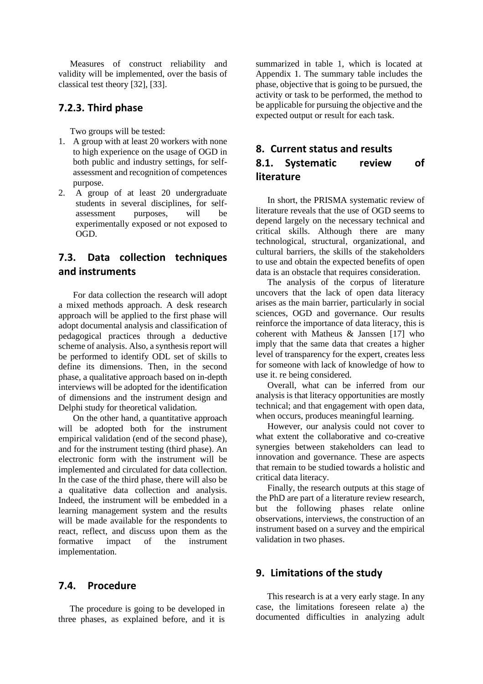Measures of construct reliability and validity will be implemented, over the basis of classical test theory [32], [33].

#### **7.2.3. Third phase**

Two groups will be tested:

- 1. A group with at least 20 workers with none to high experience on the usage of OGD in both public and industry settings, for selfassessment and recognition of competences purpose.
- 2. A group of at least 20 undergraduate students in several disciplines, for selfassessment purposes, will be experimentally exposed or not exposed to OGD.

## **7.3. Data collection techniques and instruments**

For data collection the research will adopt a mixed methods approach. A desk research approach will be applied to the first phase will adopt documental analysis and classification of pedagogical practices through a deductive scheme of analysis. Also, a synthesis report will be performed to identify ODL set of skills to define its dimensions. Then, in the second phase, a qualitative approach based on in-depth interviews will be adopted for the identification of dimensions and the instrument design and Delphi study for theoretical validation.

On the other hand, a quantitative approach will be adopted both for the instrument empirical validation (end of the second phase), and for the instrument testing (third phase). An electronic form with the instrument will be implemented and circulated for data collection. In the case of the third phase, there will also be a qualitative data collection and analysis. Indeed, the instrument will be embedded in a learning management system and the results will be made available for the respondents to react, reflect, and discuss upon them as the formative impact of the instrument implementation.

#### **7.4. Procedure**

The procedure is going to be developed in three phases, as explained before, and it is

summarized in table 1, which is located at Appendix 1. The summary table includes the phase, objective that is going to be pursued, the activity or task to be performed, the method to be applicable for pursuing the objective and the expected output or result for each task.

## **8. Current status and results 8.1. Systematic review of literature**

In short, the PRISMA systematic review of literature reveals that the use of OGD seems to depend largely on the necessary technical and critical skills. Although there are many technological, structural, organizational, and cultural barriers, the skills of the stakeholders to use and obtain the expected benefits of open data is an obstacle that requires consideration.

The analysis of the corpus of literature uncovers that the lack of open data literacy arises as the main barrier, particularly in social sciences, OGD and governance. Our results reinforce the importance of data literacy, this is coherent with Matheus & Janssen [17] who imply that the same data that creates a higher level of transparency for the expert, creates less for someone with lack of knowledge of how to use it. re being considered.

Overall, what can be inferred from our analysis is that literacy opportunities are mostly technical; and that engagement with open data, when occurs, produces meaningful learning.

However, our analysis could not cover to what extent the collaborative and co-creative synergies between stakeholders can lead to innovation and governance. These are aspects that remain to be studied towards a holistic and critical data literacy.

Finally, the research outputs at this stage of the PhD are part of a literature review research, but the following phases relate online observations, interviews, the construction of an instrument based on a survey and the empirical validation in two phases.

#### **9. Limitations of the study**

 This research is at a very early stage. In any case, the limitations foreseen relate a) the documented difficulties in analyzing adult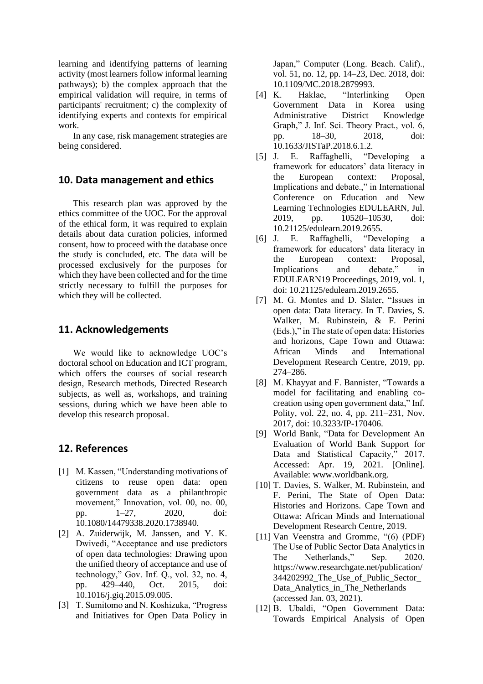learning and identifying patterns of learning activity (most learners follow informal learning pathways); b) the complex approach that the empirical validation will require, in terms of participants' recruitment; c) the complexity of identifying experts and contexts for empirical work.

In any case, risk management strategies are being considered.

#### **10. Data management and ethics**

This research plan was approved by the ethics committee of the UOC. For the approval of the ethical form, it was required to explain details about data curation policies, informed consent, how to proceed with the database once the study is concluded, etc. The data will be processed exclusively for the purposes for which they have been collected and for the time strictly necessary to fulfill the purposes for which they will be collected.

#### **11. Acknowledgements**

We would like to acknowledge UOC's doctoral school on Education and ICT program, which offers the courses of social research design, Research methods, Directed Research subjects, as well as, workshops, and training sessions, during which we have been able to develop this research proposal.

#### **12. References**

- [1] M. Kassen, "Understanding motivations of citizens to reuse open data: open government data as a philanthropic movement," Innovation, vol. 00, no. 00, pp. 1–27, 2020, doi: 10.1080/14479338.2020.1738940.
- [2] A. Zuiderwijk, M. Janssen, and Y. K. Dwivedi, "Acceptance and use predictors of open data technologies: Drawing upon the unified theory of acceptance and use of technology," Gov. Inf. Q., vol. 32, no. 4, pp. 429–440, Oct. 2015, doi: 10.1016/j.giq.2015.09.005.
- [3] T. Sumitomo and N. Koshizuka, "Progress and Initiatives for Open Data Policy in

Japan," Computer (Long. Beach. Calif)., vol. 51, no. 12, pp. 14–23, Dec. 2018, doi: 10.1109/MC.2018.2879993.

- [4] K. Haklae, "Interlinking Open Government Data in Korea using Administrative District Knowledge Graph," J. Inf. Sci. Theory Pract., vol. 6, pp. 18–30, 2018, doi: 10.1633/JISTaP.2018.6.1.2.
- [5] J. E. Raffaghelli, "Developing a framework for educators' data literacy in the European context: Proposal, Implications and debate.," in International Conference on Education and New Learning Technologies EDULEARN, Jul. 2019, pp. 10520–10530, doi: 10.21125/edulearn.2019.2655.
- [6] J. E. Raffaghelli, "Developing a framework for educators' data literacy in the European context: Proposal, Implications and debate." in EDULEARN19 Proceedings, 2019, vol. 1, doi: 10.21125/edulearn.2019.2655.
- [7] M. G. Montes and D. Slater, "Issues in open data: Data literacy. In T. Davies, S. Walker, M. Rubinstein, & F. Perini (Eds.)," in The state of open data: Histories and horizons, Cape Town and Ottawa: African Minds and International Development Research Centre, 2019, pp. 274–286.
- [8] M. Khayyat and F. Bannister, "Towards a model for facilitating and enabling cocreation using open government data," Inf. Polity, vol. 22, no. 4, pp. 211–231, Nov. 2017, doi: 10.3233/IP-170406.
- [9] World Bank, "Data for Development An Evaluation of World Bank Support for Data and Statistical Capacity," 2017. Accessed: Apr. 19, 2021. [Online]. Available: www.worldbank.org.
- [10] T. Davies, S. Walker, M. Rubinstein, and F. Perini, The State of Open Data: Histories and Horizons. Cape Town and Ottawa: African Minds and International Development Research Centre, 2019.
- [11] Van Veenstra and Gromme, "(6) (PDF) The Use of Public Sector Data Analytics in The Netherlands," Sep. 2020. https://www.researchgate.net/publication/ 344202992\_The\_Use\_of\_Public\_Sector\_ Data\_Analytics\_in\_The\_Netherlands (accessed Jan. 03, 2021).
- [12] B. Ubaldi, "Open Government Data: Towards Empirical Analysis of Open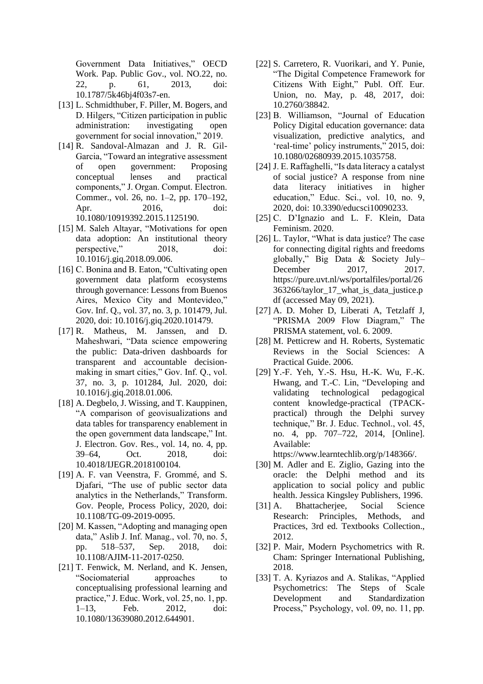Government Data Initiatives," OECD Work. Pap. Public Gov., vol. NO.22, no. 22, p. 61, 2013, doi: 10.1787/5k46bj4f03s7-en.

- [13] L. Schmidthuber, F. Piller, M. Bogers, and D. Hilgers, "Citizen participation in public administration: investigating open government for social innovation," 2019.
- [14] R. Sandoval-Almazan and J. R. Gil-Garcia, "Toward an integrative assessment of open government: Proposing conceptual lenses and practical components," J. Organ. Comput. Electron. Commer., vol. 26, no. 1–2, pp. 170–192, Apr. 2016, doi: 10.1080/10919392.2015.1125190.
- [15] M. Saleh Altayar, "Motivations for open data adoption: An institutional theory perspective," 2018, doi: 10.1016/j.giq.2018.09.006.
- [16] C. Bonina and B. Eaton, "Cultivating open government data platform ecosystems through governance: Lessons from Buenos Aires, Mexico City and Montevideo," Gov. Inf. Q., vol. 37, no. 3, p. 101479, Jul. 2020, doi: 10.1016/j.giq.2020.101479.
- [17] R. Matheus, M. Janssen, and D. Maheshwari, "Data science empowering the public: Data-driven dashboards for transparent and accountable decisionmaking in smart cities," Gov. Inf. Q., vol. 37, no. 3, p. 101284, Jul. 2020, doi: 10.1016/j.giq.2018.01.006.
- [18] A. Degbelo, J. Wissing, and T. Kauppinen, "A comparison of geovisualizations and data tables for transparency enablement in the open government data landscape," Int. J. Electron. Gov. Res., vol. 14, no. 4, pp. 39–64, Oct. 2018, doi: 10.4018/IJEGR.2018100104.
- [19] A. F. van Veenstra, F. Grommé, and S. Djafari, "The use of public sector data analytics in the Netherlands," Transform. Gov. People, Process Policy, 2020, doi: 10.1108/TG-09-2019-0095.
- [20] M. Kassen, "Adopting and managing open data," Aslib J. Inf. Manag., vol. 70, no. 5, pp. 518–537, Sep. 2018, doi: 10.1108/AJIM-11-2017-0250.
- [21] T. Fenwick, M. Nerland, and K. Jensen, "Sociomaterial approaches to conceptualising professional learning and practice," J. Educ. Work, vol. 25, no. 1, pp. 1–13, Feb. 2012, doi: 10.1080/13639080.2012.644901.
- [22] S. Carretero, R. Vuorikari, and Y. Punie, "The Digital Competence Framework for Citizens With Eight," Publ. Off. Eur. Union, no. May, p. 48, 2017, doi: 10.2760/38842.
- [23] B. Williamson, "Journal of Education Policy Digital education governance: data visualization, predictive analytics, and 'real-time' policy instruments," 2015, doi: 10.1080/02680939.2015.1035758.
- [24] J. E. Raffaghelli, "Is data literacy a catalyst of social justice? A response from nine data literacy initiatives in higher education," Educ. Sci., vol. 10, no. 9, 2020, doi: 10.3390/educsci10090233.
- [25] C. D'Ignazio and L. F. Klein, Data Feminism. 2020.
- [26] L. Taylor, "What is data justice? The case for connecting digital rights and freedoms globally," Big Data & Society July– December 2017, 2017. https://pure.uvt.nl/ws/portalfiles/portal/26 363266/taylor\_17\_what\_is\_data\_justice.p df (accessed May 09, 2021).
- [27] A. D. Moher D, Liberati A, Tetzlaff J, "PRISMA 2009 Flow Diagram," The PRISMA statement, vol. 6. 2009.
- [28] M. Petticrew and H. Roberts, Systematic Reviews in the Social Sciences: A Practical Guide. 2006.
- [29] Y.-F. Yeh, Y.-S. Hsu, H.-K. Wu, F.-K. Hwang, and T.-C. Lin, "Developing and validating technological pedagogical content knowledge-practical (TPACKpractical) through the Delphi survey technique," Br. J. Educ. Technol., vol. 45, no. 4, pp. 707–722, 2014, [Online]. Available:

https://www.learntechlib.org/p/148366/.

- [30] M. Adler and E. Ziglio, Gazing into the oracle: the Delphi method and its application to social policy and public health. Jessica Kingsley Publishers, 1996.
- [31] A. Bhattacherjee, Social Science Research: Principles, Methods, and Practices, 3rd ed. Textbooks Collection., 2012.
- [32] P. Mair, Modern Psychometrics with R. Cham: Springer International Publishing, 2018.
- [33] T. A. Kyriazos and A. Stalikas, "Applied Psychometrics: The Steps of Scale Development and Standardization Process," Psychology, vol. 09, no. 11, pp.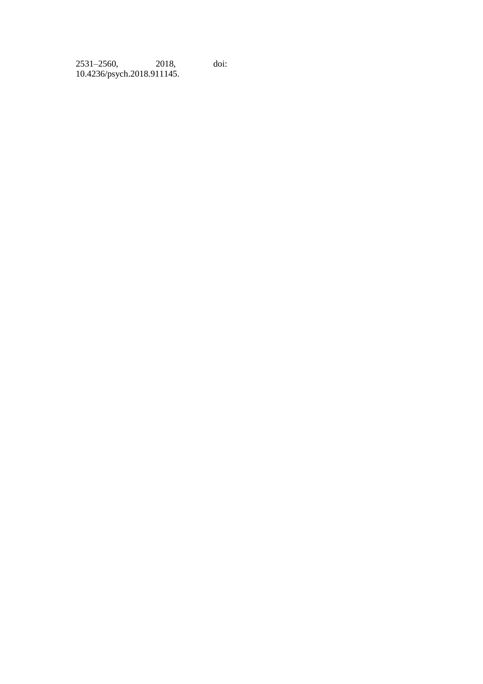| 2531-2560,                 | 2018, | doi: |
|----------------------------|-------|------|
| 10.4236/psych.2018.911145. |       |      |